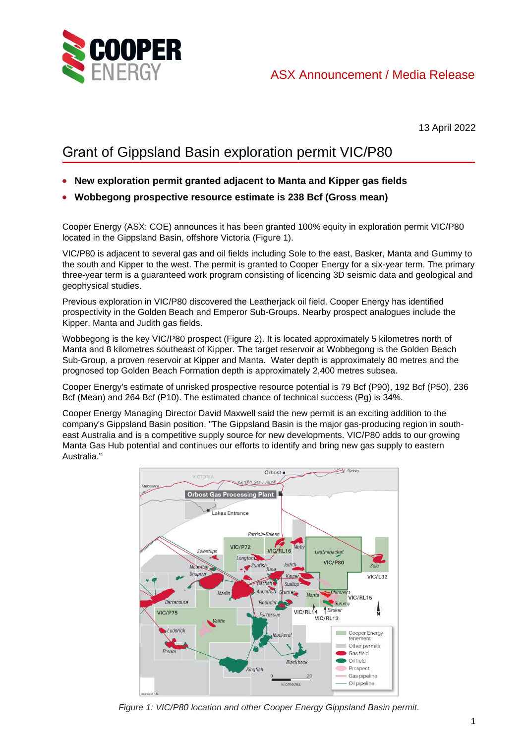

13 April 2022

## Grant of Gippsland Basin exploration permit VIC/P80

- **New exploration permit granted adjacent to Manta and Kipper gas fields**
- **Wobbegong prospective resource estimate is 238 Bcf (Gross mean)**

Cooper Energy (ASX: COE) announces it has been granted 100% equity in exploration permit VIC/P80 located in the Gippsland Basin, offshore Victoria (Figure 1).

VIC/P80 is adjacent to several gas and oil fields including Sole to the east, Basker, Manta and Gummy to the south and Kipper to the west. The permit is granted to Cooper Energy for a six-year term. The primary three-year term is a guaranteed work program consisting of licencing 3D seismic data and geological and geophysical studies.

Previous exploration in VIC/P80 discovered the Leatherjack oil field. Cooper Energy has identified prospectivity in the Golden Beach and Emperor Sub-Groups. Nearby prospect analogues include the Kipper, Manta and Judith gas fields.

Wobbegong is the key VIC/P80 prospect (Figure 2). It is located approximately 5 kilometres north of Manta and 8 kilometres southeast of Kipper. The target reservoir at Wobbegong is the Golden Beach Sub-Group, a proven reservoir at Kipper and Manta. Water depth is approximately 80 metres and the prognosed top Golden Beach Formation depth is approximately 2,400 metres subsea.

Cooper Energy's estimate of unrisked prospective resource potential is 79 Bcf (P90), 192 Bcf (P50), 236 Bcf (Mean) and 264 Bcf (P10). The estimated chance of technical success (Pg) is 34%.

Cooper Energy Managing Director David Maxwell said the new permit is an exciting addition to the company's Gippsland Basin position. "The Gippsland Basin is the major gas-producing region in southeast Australia and is a competitive supply source for new developments. VIC/P80 adds to our growing Manta Gas Hub potential and continues our efforts to identify and bring new gas supply to eastern Australia."



*Figure 1: VIC/P80 location and other Cooper Energy Gippsland Basin permit.*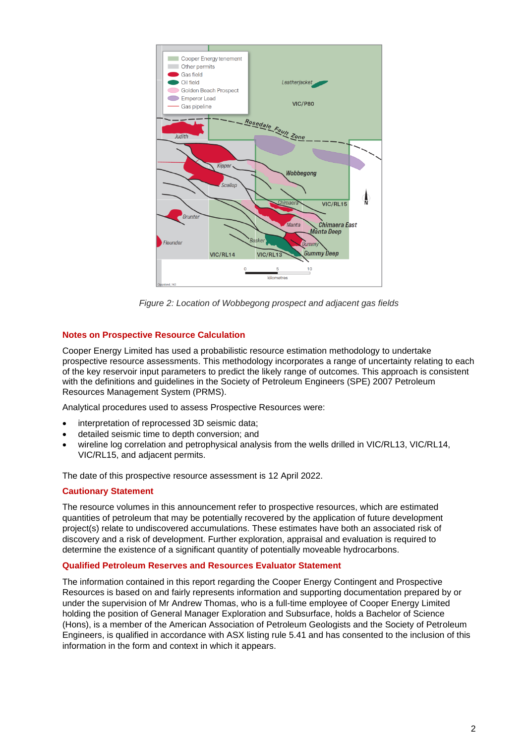

*Figure 2: Location of Wobbegong prospect and adjacent gas fields*

## **Notes on Prospective Resource Calculation**

Cooper Energy Limited has used a probabilistic resource estimation methodology to undertake prospective resource assessments. This methodology incorporates a range of uncertainty relating to each of the key reservoir input parameters to predict the likely range of outcomes. This approach is consistent with the definitions and guidelines in the Society of Petroleum Engineers (SPE) 2007 Petroleum Resources Management System (PRMS).

Analytical procedures used to assess Prospective Resources were:

- interpretation of reprocessed 3D seismic data;
- detailed seismic time to depth conversion; and
- wireline log correlation and petrophysical analysis from the wells drilled in VIC/RL13, VIC/RL14, VIC/RL15, and adjacent permits.

The date of this prospective resource assessment is 12 April 2022.

## **Cautionary Statement**

The resource volumes in this announcement refer to prospective resources, which are estimated quantities of petroleum that may be potentially recovered by the application of future development project(s) relate to undiscovered accumulations. These estimates have both an associated risk of discovery and a risk of development. Further exploration, appraisal and evaluation is required to determine the existence of a significant quantity of potentially moveable hydrocarbons.

## **Qualified Petroleum Reserves and Resources Evaluator Statement**

The information contained in this report regarding the Cooper Energy Contingent and Prospective Resources is based on and fairly represents information and supporting documentation prepared by or under the supervision of Mr Andrew Thomas, who is a full-time employee of Cooper Energy Limited holding the position of General Manager Exploration and Subsurface, holds a Bachelor of Science (Hons), is a member of the American Association of Petroleum Geologists and the Society of Petroleum Engineers, is qualified in accordance with ASX listing rule 5.41 and has consented to the inclusion of this information in the form and context in which it appears.